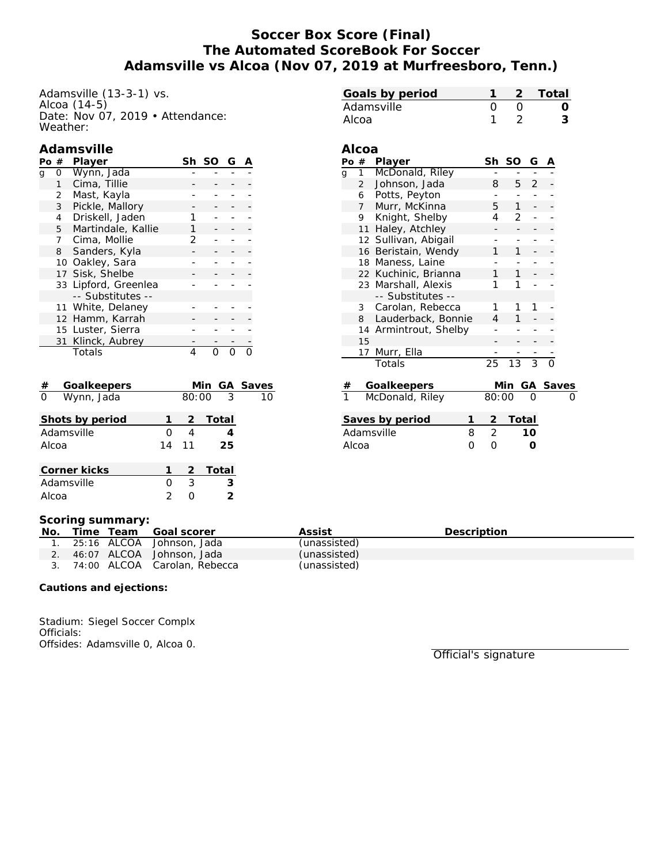# **Soccer Box Score (Final) The Automated ScoreBook For Soccer Adamsville vs Alcoa (Nov 07, 2019 at Murfreesboro, Tenn.)**

**Alcoa**

Adamsville (13-3-1) vs. Alcoa (14-5) Date: Nov 07, 2019 • Attendance: Weather:

### **Adamsville**

| Pο | #              | Player               |   | Sh SO | G |  |
|----|----------------|----------------------|---|-------|---|--|
| q  | O              | Wynn, Jada           |   |       |   |  |
|    | 1              | Cima, Tillie         |   |       |   |  |
|    | $\overline{2}$ | Mast, Kayla          |   |       |   |  |
|    | 3              | Pickle, Mallory      |   |       |   |  |
|    | 4              | Driskell, Jaden      |   |       |   |  |
|    | 5              | Martindale, Kallie   |   |       |   |  |
|    | 7              | Cima, Mollie         | 2 |       |   |  |
|    | 8              | Sanders, Kyla        |   |       |   |  |
|    |                | 10 Oakley, Sara      |   |       |   |  |
|    |                | 17 Sisk, Shelbe      |   |       |   |  |
|    |                | 33 Lipford, Greenlea |   |       |   |  |
|    |                | -- Substitutes --    |   |       |   |  |
|    |                | 11 White, Delaney    |   |       |   |  |
|    |                | 12 Hamm, Karrah      |   |       |   |  |
|    |                | 15 Luster, Sierra    |   |       |   |  |
|    |                | 31 Klinck, Aubrey    |   |       |   |  |
|    |                | Totals               |   |       |   |  |

| Goalkeepers<br>#       |                  |       | Min GA Saves    |    |
|------------------------|------------------|-------|-----------------|----|
| $\Omega$<br>Wynn, Jada |                  |       | $80:00 \quad 3$ | 10 |
| Shots by period        |                  | 2     | Total           |    |
| Adamsville             | $\left( \right)$ | 4     |                 |    |
| Alcoa                  |                  | 14 11 | 25              |    |
| Corner kicks           |                  |       | 2 Total         |    |
| Adamsville             | Ω                | 3     | З               |    |
| Alcoa                  |                  |       | 2               |    |

|   | Po #            | Player                | Sh    | SO  | G | А        |  |
|---|-----------------|-----------------------|-------|-----|---|----------|--|
| g | $1 \quad$       | McDonald, Riley       |       |     |   |          |  |
|   | $\overline{2}$  | Johnson, Jada         | 8     | 5.  | 2 |          |  |
|   | 6               | Potts, Peyton         |       |     |   |          |  |
|   | 7               | Murr, McKinna         | 5.    | 1   |   |          |  |
|   | 9               | Knight, Shelby        | 4     | 2   |   |          |  |
|   |                 | 11 Haley, Atchley     |       |     |   |          |  |
|   |                 | 12 Sullivan, Abigail  |       |     |   |          |  |
|   | 16              | Beristain, Wendy      | 1     | 1   |   |          |  |
|   |                 | 18 Maness, Laine      |       |     |   |          |  |
|   |                 | 22 Kuchinic, Brianna  |       | 1   |   |          |  |
|   |                 | 23 Marshall, Alexis   |       |     |   |          |  |
|   |                 | -- Substitutes --     |       |     |   |          |  |
|   | 3               | Carolan, Rebecca      | 1     |     |   |          |  |
|   | 8               | Lauderback, Bonnie    | 4     | 1   |   |          |  |
|   |                 | 14 Armintrout, Shelby |       |     |   |          |  |
|   | 15              |                       |       |     |   |          |  |
|   | 17 <sup>1</sup> | Murr, Ella            |       |     |   |          |  |
|   |                 | Totals                | 25    | 13  | 3 | ∩        |  |
| # |                 | Goalkeepers           |       | Min |   | GA Saves |  |
| 1 |                 | McDonald, Riley       | 80:00 |     | 0 |          |  |

**Goals by period 1 2 Total** Adamsville 0 0 0 0 Alcoa 1 2 **3**

| $\blacksquare$  | $\cup \cup \ldots \cup \cup$ |         |
|-----------------|------------------------------|---------|
| Saves by period |                              | 2 Total |
| Adamsville      |                              | 10      |
| Alcoa           |                              |         |

#### **Scoring summary:**

| No. |  | Time Team Goal scorer           | Assist       | <b>Description</b> |
|-----|--|---------------------------------|--------------|--------------------|
|     |  | 25:16 ALCOA Johnson, Jada       | (unassisted) |                    |
|     |  | 46:07 ALCOA Johnson, Jada       | (unassisted) |                    |
|     |  | 3. 74:00 ALCOA Carolan, Rebecca | (unassisted) |                    |

**Cautions and ejections:**

Stadium: Siegel Soccer Complx Officials: Offsides: Adamsville 0, Alcoa 0.

Official's signature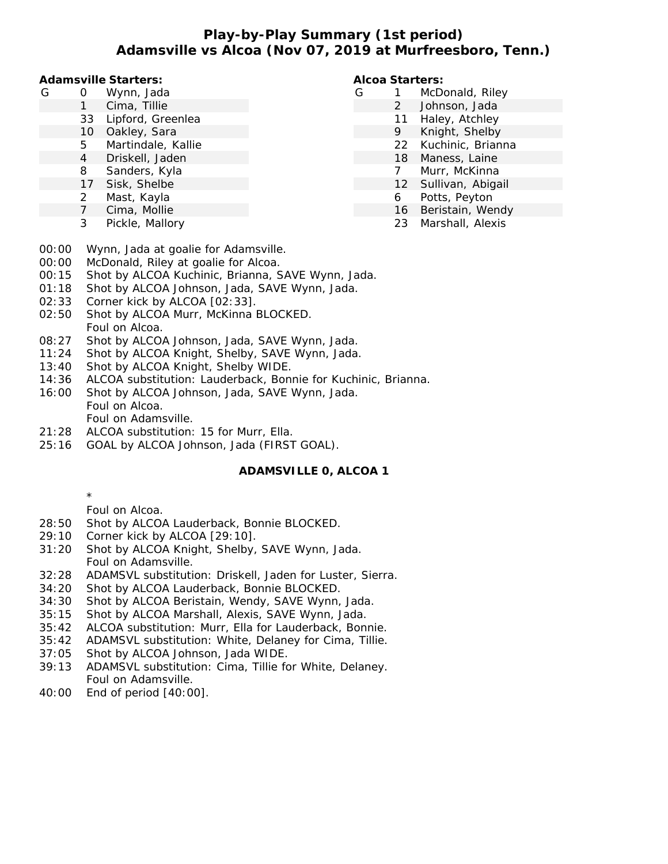**Play-by-Play Summary (1st period) Adamsville vs Alcoa (Nov 07, 2019 at Murfreesboro, Tenn.)**

**Adamsville Starters:**

- G 0 Wynn, Jada
	- 1 Cima, Tillie
	- 33 Lipford, Greenlea
	- 10 Oakley, Sara
	- 5 Martindale, Kallie
	- 4 Driskell, Jaden
	- 8 Sanders, Kyla
	- 17 Sisk, Shelbe
	- 2 Mast, Kayla
	- 7 Cima, Mollie
	- 3 Pickle, Mallory

#### **Alcoa Starters:**

- G 1 McDonald, Riley
	- 2 Johnson, Jada
	- 11 Haley, Atchley
	- 9 Knight, Shelby
	- 22 Kuchinic, Brianna
	- 18 Maness, Laine
	- 7 Murr, McKinna
	- 12 Sullivan, Abigail
	- 6 Potts, Peyton
	- 16 Beristain, Wendy
		- 23 Marshall, Alexis

- 00:00 Wynn, Jada at goalie for Adamsville.
- 00:00 McDonald, Riley at goalie for Alcoa.
- 00:15 Shot by ALCOA Kuchinic, Brianna, SAVE Wynn, Jada.
- 01:18 Shot by ALCOA Johnson, Jada, SAVE Wynn, Jada.
- 02:33 Corner kick by ALCOA [02:33].
- 02:50 Shot by ALCOA Murr, McKinna BLOCKED. Foul on Alcoa.
- 08:27 Shot by ALCOA Johnson, Jada, SAVE Wynn, Jada.
- 11:24 Shot by ALCOA Knight, Shelby, SAVE Wynn, Jada.
- 13:40 Shot by ALCOA Knight, Shelby WIDE.
- 14:36 ALCOA substitution: Lauderback, Bonnie for Kuchinic, Brianna.
- 16:00 Shot by ALCOA Johnson, Jada, SAVE Wynn, Jada. Foul on Alcoa. Foul on Adamsville.
- 21:28 ALCOA substitution: 15 for Murr, Ella.
- 25:16 GOAL by ALCOA Johnson, Jada (FIRST GOAL).

# **ADAMSVILLE 0, ALCOA 1**

\*

Foul on Alcoa.

- 28:50 Shot by ALCOA Lauderback, Bonnie BLOCKED.
- 29:10 Corner kick by ALCOA [29:10].
- 31:20 Shot by ALCOA Knight, Shelby, SAVE Wynn, Jada. Foul on Adamsville.
- 32:28 ADAMSVL substitution: Driskell, Jaden for Luster, Sierra.
- 34:20 Shot by ALCOA Lauderback, Bonnie BLOCKED.
- 34:30 Shot by ALCOA Beristain, Wendy, SAVE Wynn, Jada.
- 35:15 Shot by ALCOA Marshall, Alexis, SAVE Wynn, Jada.
- 35:42 ALCOA substitution: Murr, Ella for Lauderback, Bonnie.
- 35:42 ADAMSVL substitution: White, Delaney for Cima, Tillie.
- 37:05 Shot by ALCOA Johnson, Jada WIDE.
- 39:13 ADAMSVL substitution: Cima, Tillie for White, Delaney. Foul on Adamsville.
- 40:00 End of period [40:00].